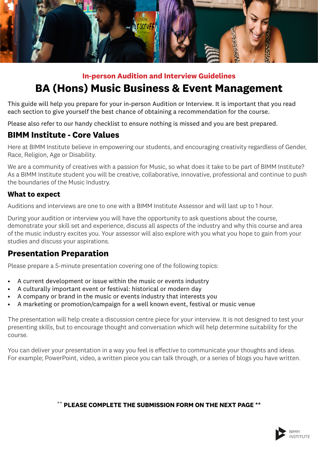

#### **In-person Audition and Interview Guidelines**

# **BA (Hons) Music Business & Event Management**

This guide will help you prepare for your in-person Audition or Interview. It is important that you read each section to give yourself the best chance of obtaining a recommendation for the course.

Please also refer to our handy checklist to ensure nothing is missed and you are best prepared.

### **BIMM Institute - Core Values**

Here at BIMM Institute believe in empowering our students, and encouraging creativity regardless of Gender, Race, Religion, Age or Disability.

We are a community of creatives with a passion for Music, so what does it take to be part of BIMM Institute? As a BIMM Institute student you will be creative, collaborative, innovative, professional and continue to push the boundaries of the Music Industry.

#### **What to expect**

Auditions and interviews are one to one with a BIMM Institute Assessor and will last up to 1 hour.

During your audition or interview you will have the opportunity to ask questions about the course, demonstrate your skill set and experience, discuss all aspects of the industry and why this course and area of the music industry excites you. Your assessor will also explore with you what you hope to gain from your studies and discuss your aspirations.

## **Presentation Preparation**

Please prepare a 5-minute presentation covering one of the following topics:

- A current development or issue within the music or events industry
- A culturally important event or festival: historical or modern day
- A company or brand in the music or events industry that interests you
- A marketing or promotion/campaign for a well known event, festival or music venue

The presentation will help create a discussion centre piece for your interview. It is not designed to test your presenting skills, but to encourage thought and conversation which will help determine suitability for the course.

You can deliver your presentation in a way you feel is effective to communicate your thoughts and ideas. For example; PowerPoint, video, a written piece you can talk through, or a series of blogs you have written.

#### \*\* **PLEASE COMPLETE THE SUBMISSION FORM ON THE NEXT PAGE \*\***